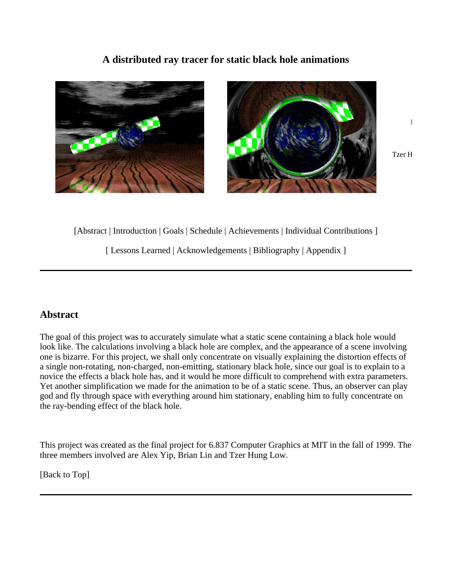## **A distributed ray tracer for static black hole animations**



[Abstract | Introduction | Goals | Schedule | Achievements | Individual Contributions ]

[ Lessons Learned | Acknowledgements | Bibliography | Appendix ]

# **Abstract**

The goal of this project was to accurately simulate what a static scene containing a black hole would look like. The calculations involving a black hole are complex, and the appearance of a scene involving one is bizarre. For this project, we shall only concentrate on visually explaining the distortion effects of a single non-rotating, non-charged, non-emitting, stationary black hole, since our goal is to explain to a novice the effects a black hole has, and it would be more difficult to comprehend with extra parameters. Yet another simplification we made for the animation to be of a static scene. Thus, an observer can play god and fly through space with everything around him stationary, enabling him to fully concentrate on the ray-bending effect of the black hole.

This project was created as the final project for 6.837 Computer Graphics at MIT in the fall of 1999. The three members involved are Alex Yip, Brian Lin and Tzer Hung Low.

[Back to Top]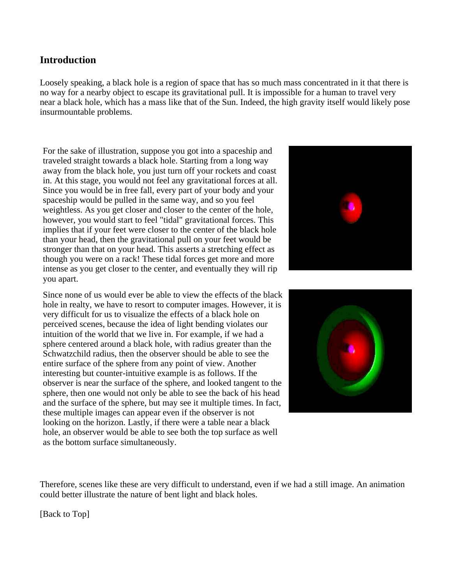# **Introduction**

Loosely speaking, a black hole is a region of space that has so much mass concentrated in it that there is no way for a nearby object to escape its gravitational pull. It is impossible for a human to travel very near a black hole, which has a mass like that of the Sun. Indeed, the high gravity itself would likely pose insurmountable problems.

For the sake of illustration, suppose you got into a spaceship and traveled straight towards a black hole. Starting from a long way away from the black hole, you just turn off your rockets and coast in. At this stage, you would not feel any gravitational forces at all. Since you would be in free fall, every part of your body and your spaceship would be pulled in the same way, and so you feel weightless. As you get closer and closer to the center of the hole, however, you would start to feel "tidal" gravitational forces. This implies that if your feet were closer to the center of the black hole than your head, then the gravitational pull on your feet would be stronger than that on your head. This asserts a stretching effect as though you were on a rack! These tidal forces get more and more intense as you get closer to the center, and eventually they will rip you apart.

Since none of us would ever be able to view the effects of the black hole in realty, we have to resort to computer images. However, it is very difficult for us to visualize the effects of a black hole on perceived scenes, because the idea of light bending violates our intuition of the world that we live in. For example, if we had a sphere centered around a black hole, with radius greater than the Schwatzchild radius, then the observer should be able to see the entire surface of the sphere from any point of view. Another interesting but counter-intuitive example is as follows. If the observer is near the surface of the sphere, and looked tangent to the sphere, then one would not only be able to see the back of his head and the surface of the sphere, but may see it multiple times. In fact, these multiple images can appear even if the observer is not looking on the horizon. Lastly, if there were a table near a black hole, an observer would be able to see both the top surface as well as the bottom surface simultaneously.





Therefore, scenes like these are very difficult to understand, even if we had a still image. An animation could better illustrate the nature of bent light and black holes.

[Back to Top]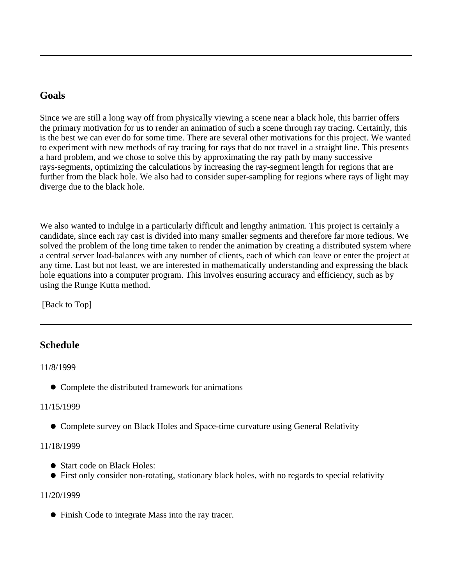## **Goals**

Since we are still a long way off from physically viewing a scene near a black hole, this barrier offers the primary motivation for us to render an animation of such a scene through ray tracing. Certainly, this is the best we can ever do for some time. There are several other motivations for this project. We wanted to experiment with new methods of ray tracing for rays that do not travel in a straight line. This presents a hard problem, and we chose to solve this by approximating the ray path by many successive rays-segments, optimizing the calculations by increasing the ray-segment length for regions that are further from the black hole. We also had to consider super-sampling for regions where rays of light may diverge due to the black hole.

We also wanted to indulge in a particularly difficult and lengthy animation. This project is certainly a candidate, since each ray cast is divided into many smaller segments and therefore far more tedious. We solved the problem of the long time taken to render the animation by creating a distributed system where a central server load-balances with any number of clients, each of which can leave or enter the project at any time. Last but not least, we are interested in mathematically understanding and expressing the black hole equations into a computer program. This involves ensuring accuracy and efficiency, such as by using the Runge Kutta method.

[Back to Top]

# **Schedule**

11/8/1999

• Complete the distributed framework for animations

## 11/15/1999

Complete survey on Black Holes and Space-time curvature using General Relativity

## 11/18/1999

- Start code on Black Holes:
- First only consider non-rotating, stationary black holes, with no regards to special relativity

## 11/20/1999

Finish Code to integrate Mass into the ray tracer.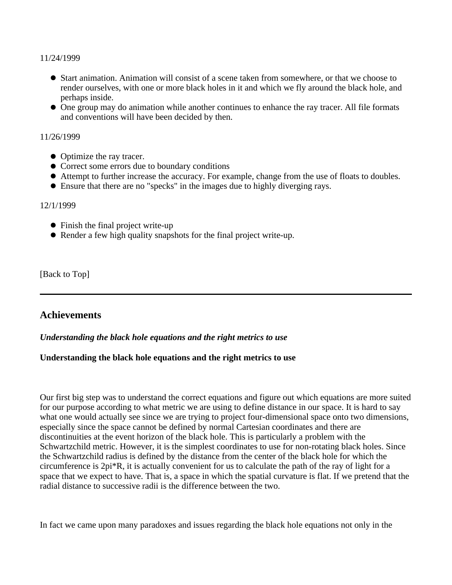11/24/1999

- Start animation. Animation will consist of a scene taken from somewhere, or that we choose to render ourselves, with one or more black holes in it and which we fly around the black hole, and perhaps inside.
- One group may do animation while another continues to enhance the ray tracer. All file formats and conventions will have been decided by then.

#### 11/26/1999

- Optimize the ray tracer.
- Correct some errors due to boundary conditions
- Attempt to further increase the accuracy. For example, change from the use of floats to doubles.
- Ensure that there are no "specks" in the images due to highly diverging rays.

#### 12/1/1999

- Finish the final project write-up
- Render a few high quality snapshots for the final project write-up.

[Back to Top]

## **Achievements**

#### *Understanding the black hole equations and the right metrics to use*

### **Understanding the black hole equations and the right metrics to use**

Our first big step was to understand the correct equations and figure out which equations are more suited for our purpose according to what metric we are using to define distance in our space. It is hard to say what one would actually see since we are trying to project four-dimensional space onto two dimensions, especially since the space cannot be defined by normal Cartesian coordinates and there are discontinuities at the event horizon of the black hole. This is particularly a problem with the Schwartzchild metric. However, it is the simplest coordinates to use for non-rotating black holes. Since the Schwartzchild radius is defined by the distance from the center of the black hole for which the circumference is 2pi\*R, it is actually convenient for us to calculate the path of the ray of light for a space that we expect to have. That is, a space in which the spatial curvature is flat. If we pretend that the radial distance to successive radii is the difference between the two.

In fact we came upon many paradoxes and issues regarding the black hole equations not only in the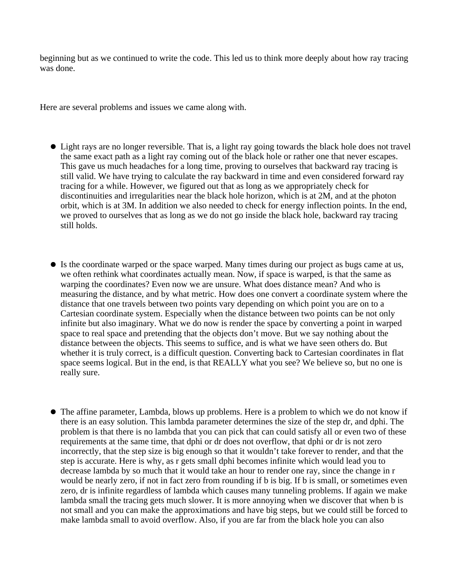beginning but as we continued to write the code. This led us to think more deeply about how ray tracing was done.

Here are several problems and issues we came along with.

- Light rays are no longer reversible. That is, a light ray going towards the black hole does not travel the same exact path as a light ray coming out of the black hole or rather one that never escapes. This gave us much headaches for a long time, proving to ourselves that backward ray tracing is still valid. We have trying to calculate the ray backward in time and even considered forward ray tracing for a while. However, we figured out that as long as we appropriately check for discontinuities and irregularities near the black hole horizon, which is at 2M, and at the photon orbit, which is at 3M. In addition we also needed to check for energy inflection points. In the end, we proved to ourselves that as long as we do not go inside the black hole, backward ray tracing still holds.
- Is the coordinate warped or the space warped. Many times during our project as bugs came at us, we often rethink what coordinates actually mean. Now, if space is warped, is that the same as warping the coordinates? Even now we are unsure. What does distance mean? And who is measuring the distance, and by what metric. How does one convert a coordinate system where the distance that one travels between two points vary depending on which point you are on to a Cartesian coordinate system. Especially when the distance between two points can be not only infinite but also imaginary. What we do now is render the space by converting a point in warped space to real space and pretending that the objects don't move. But we say nothing about the distance between the objects. This seems to suffice, and is what we have seen others do. But whether it is truly correct, is a difficult question. Converting back to Cartesian coordinates in flat space seems logical. But in the end, is that REALLY what you see? We believe so, but no one is really sure.
- The affine parameter, Lambda, blows up problems. Here is a problem to which we do not know if there is an easy solution. This lambda parameter determines the size of the step dr, and dphi. The problem is that there is no lambda that you can pick that can could satisfy all or even two of these requirements at the same time, that dphi or dr does not overflow, that dphi or dr is not zero incorrectly, that the step size is big enough so that it wouldn't take forever to render, and that the step is accurate. Here is why, as r gets small dphi becomes infinite which would lead you to decrease lambda by so much that it would take an hour to render one ray, since the change in r would be nearly zero, if not in fact zero from rounding if b is big. If b is small, or sometimes even zero, dr is infinite regardless of lambda which causes many tunneling problems. If again we make lambda small the tracing gets much slower. It is more annoying when we discover that when b is not small and you can make the approximations and have big steps, but we could still be forced to make lambda small to avoid overflow. Also, if you are far from the black hole you can also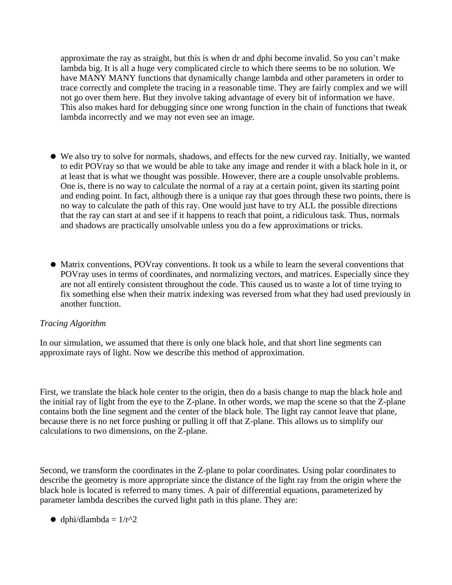approximate the ray as straight, but this is when dr and dphi become invalid. So you can't make lambda big. It is all a huge very complicated circle to which there seems to be no solution. We have MANY MANY functions that dynamically change lambda and other parameters in order to trace correctly and complete the tracing in a reasonable time. They are fairly complex and we will not go over them here. But they involve taking advantage of every bit of information we have. This also makes hard for debugging since one wrong function in the chain of functions that tweak lambda incorrectly and we may not even see an image.

- We also try to solve for normals, shadows, and effects for the new curved ray. Initially, we wanted to edit POVray so that we would be able to take any image and render it with a black hole in it, or at least that is what we thought was possible. However, there are a couple unsolvable problems. One is, there is no way to calculate the normal of a ray at a certain point, given its starting point and ending point. In fact, although there is a unique ray that goes through these two points, there is no way to calculate the path of this ray. One would just have to try ALL the possible directions that the ray can start at and see if it happens to reach that point, a ridiculous task. Thus, normals and shadows are practically unsolvable unless you do a few approximations or tricks.
- Matrix conventions, POVray conventions. It took us a while to learn the several conventions that POVray uses in terms of coordinates, and normalizing vectors, and matrices. Especially since they are not all entirely consistent throughout the code. This caused us to waste a lot of time trying to fix something else when their matrix indexing was reversed from what they had used previously in another function.

### *Tracing Algorithm*

In our simulation, we assumed that there is only one black hole, and that short line segments can approximate rays of light. Now we describe this method of approximation.

First, we translate the black hole center to the origin, then do a basis change to map the black hole and the initial ray of light from the eye to the Z-plane. In other words, we map the scene so that the Z-plane contains both the line segment and the center of the black hole. The light ray cannot leave that plane, because there is no net force pushing or pulling it off that Z-plane. This allows us to simplify our calculations to two dimensions, on the Z-plane.

Second, we transform the coordinates in the Z-plane to polar coordinates. Using polar coordinates to describe the geometry is more appropriate since the distance of the light ray from the origin where the black hole is located is referred to many times. A pair of differential equations, parameterized by parameter lambda describes the curved light path in this plane. They are:

 $\bullet$  dphi/dlambda =  $1/r^2$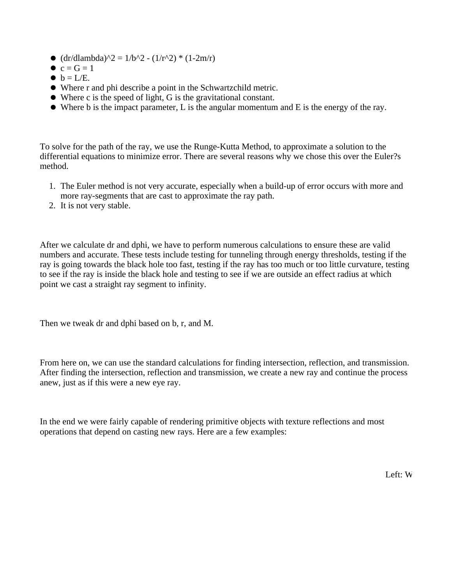- $\bullet$  (dr/dlambda)^2 = 1/b^2 (1/r^2) \* (1-2m/r)
- $c = G = 1$
- $\bullet$  b = L/E.
- Where r and phi describe a point in the Schwartzchild metric.
- Where c is the speed of light, G is the gravitational constant.
- Where b is the impact parameter, L is the angular momentum and E is the energy of the ray.

To solve for the path of the ray, we use the Runge-Kutta Method, to approximate a solution to the differential equations to minimize error. There are several reasons why we chose this over the Euler?s method.

- 1. The Euler method is not very accurate, especially when a build-up of error occurs with more and more ray-segments that are cast to approximate the ray path.
- 2. It is not very stable.

After we calculate dr and dphi, we have to perform numerous calculations to ensure these are valid numbers and accurate. These tests include testing for tunneling through energy thresholds, testing if the ray is going towards the black hole too fast, testing if the ray has too much or too little curvature, testing to see if the ray is inside the black hole and testing to see if we are outside an effect radius at which point we cast a straight ray segment to infinity.

Then we tweak dr and dphi based on b, r, and M.

From here on, we can use the standard calculations for finding intersection, reflection, and transmission. After finding the intersection, reflection and transmission, we create a new ray and continue the process anew, just as if this were a new eye ray.

In the end we were fairly capable of rendering primitive objects with texture reflections and most operations that depend on casting new rays. Here are a few examples: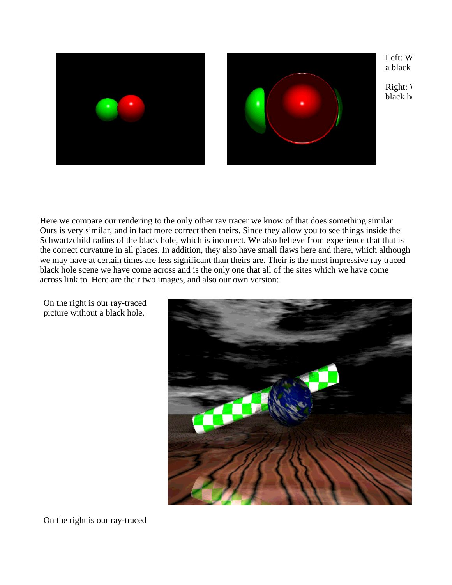

Here we compare our rendering to the only other ray tracer we know of that does something similar. Ours is very similar, and in fact more correct then theirs. Since they allow you to see things inside the Schwartzchild radius of the black hole, which is incorrect. We also believe from experience that that is the correct curvature in all places. In addition, they also have small flaws here and there, which although we may have at certain times are less significant than theirs are. Their is the most impressive ray traced black hole scene we have come across and is the only one that all of the sites which we have come across link to. Here are their two images, and also our own version:



On the right is our ray-traced picture without a black hole.

On the right is our ray-traced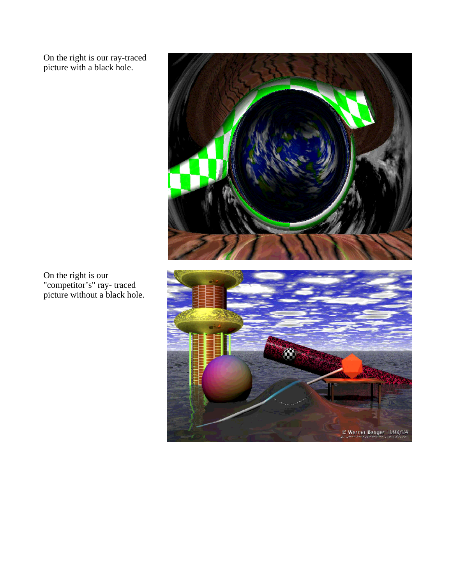On the right is our ray-traced picture with a black hole.



On the right is our "competitor's" ray- traced picture without a black hole.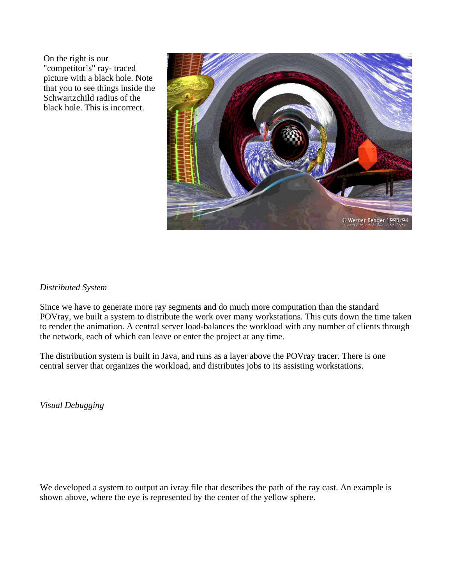On the right is our "competitor's" ray- traced picture with a black hole. Note that you to see things inside the Schwartzchild radius of the black hole. This is incorrect.



### *Distributed System*

Since we have to generate more ray segments and do much more computation than the standard POVray, we built a system to distribute the work over many workstations. This cuts down the time taken to render the animation. A central server load-balances the workload with any number of clients through the network, each of which can leave or enter the project at any time.

The distribution system is built in Java, and runs as a layer above the POVray tracer. There is one central server that organizes the workload, and distributes jobs to its assisting workstations.

*Visual Debugging*

We developed a system to output an ivray file that describes the path of the ray cast. An example is shown above, where the eye is represented by the center of the yellow sphere.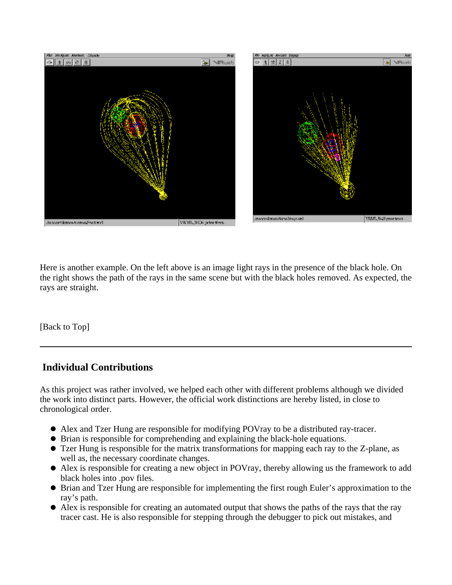

Here is another example. On the left above is an image light rays in the presence of the black hole. On the right shows the path of the rays in the same scene but with the black holes removed. As expected, the rays are straight.

[Back to Top]

# **Individual Contributions**

As this project was rather involved, we helped each other with different problems although we divided the work into distinct parts. However, the official work distinctions are hereby listed, in close to chronological order.

- Alex and Tzer Hung are responsible for modifying POVray to be a distributed ray-tracer.
- Brian is responsible for comprehending and explaining the black-hole equations.
- Tzer Hung is responsible for the matrix transformations for mapping each ray to the Z-plane, as well as, the necessary coordinate changes.
- Alex is responsible for creating a new object in POVray, thereby allowing us the framework to add black holes into .pov files.
- Brian and Tzer Hung are responsible for implementing the first rough Euler's approximation to the ray's path.
- Alex is responsible for creating an automated output that shows the paths of the rays that the ray tracer cast. He is also responsible for stepping through the debugger to pick out mistakes, and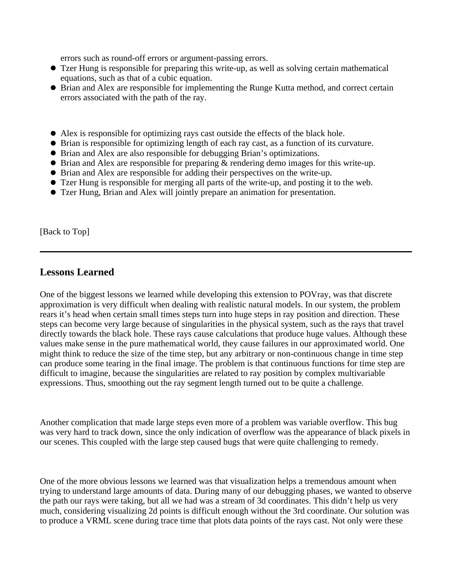errors such as round-off errors or argument-passing errors.

- Tzer Hung is responsible for preparing this write-up, as well as solving certain mathematical equations, such as that of a cubic equation.
- Brian and Alex are responsible for implementing the Runge Kutta method, and correct certain errors associated with the path of the ray.
- Alex is responsible for optimizing rays cast outside the effects of the black hole.
- Brian is responsible for optimizing length of each ray cast, as a function of its curvature.
- Brian and Alex are also responsible for debugging Brian's optimizations.
- $\bullet$  Brian and Alex are responsible for preparing  $\&$  rendering demo images for this write-up.
- Brian and Alex are responsible for adding their perspectives on the write-up.
- Tzer Hung is responsible for merging all parts of the write-up, and posting it to the web.
- Tzer Hung, Brian and Alex will jointly prepare an animation for presentation.

[Back to Top]

## **Lessons Learned**

One of the biggest lessons we learned while developing this extension to POVray, was that discrete approximation is very difficult when dealing with realistic natural models. In our system, the problem rears it's head when certain small times steps turn into huge steps in ray position and direction. These steps can become very large because of singularities in the physical system, such as the rays that travel directly towards the black hole. These rays cause calculations that produce huge values. Although these values make sense in the pure mathematical world, they cause failures in our approximated world. One might think to reduce the size of the time step, but any arbitrary or non-continuous change in time step can produce some tearing in the final image. The problem is that continuous functions for time step are difficult to imagine, because the singularities are related to ray position by complex multivariable expressions. Thus, smoothing out the ray segment length turned out to be quite a challenge.

Another complication that made large steps even more of a problem was variable overflow. This bug was very hard to track down, since the only indication of overflow was the appearance of black pixels in our scenes. This coupled with the large step caused bugs that were quite challenging to remedy.

One of the more obvious lessons we learned was that visualization helps a tremendous amount when trying to understand large amounts of data. During many of our debugging phases, we wanted to observe the path our rays were taking, but all we had was a stream of 3d coordinates. This didn't help us very much, considering visualizing 2d points is difficult enough without the 3rd coordinate. Our solution was to produce a VRML scene during trace time that plots data points of the rays cast. Not only were these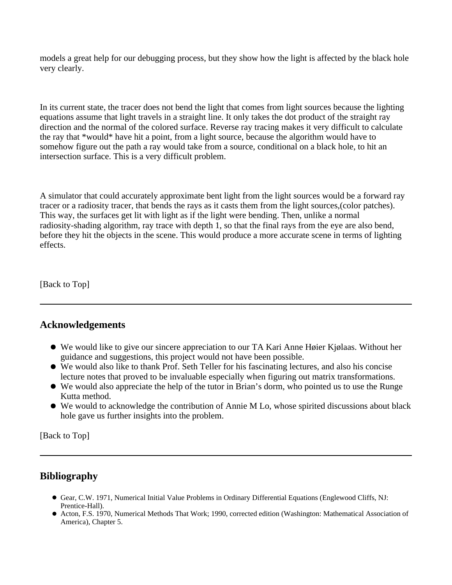models a great help for our debugging process, but they show how the light is affected by the black hole very clearly.

In its current state, the tracer does not bend the light that comes from light sources because the lighting equations assume that light travels in a straight line. It only takes the dot product of the straight ray direction and the normal of the colored surface. Reverse ray tracing makes it very difficult to calculate the ray that \*would\* have hit a point, from a light source, because the algorithm would have to somehow figure out the path a ray would take from a source, conditional on a black hole, to hit an intersection surface. This is a very difficult problem.

A simulator that could accurately approximate bent light from the light sources would be a forward ray tracer or a radiosity tracer, that bends the rays as it casts them from the light sources,(color patches). This way, the surfaces get lit with light as if the light were bending. Then, unlike a normal radiosity-shading algorithm, ray trace with depth 1, so that the final rays from the eye are also bend, before they hit the objects in the scene. This would produce a more accurate scene in terms of lighting effects.

[Back to Top]

## **Acknowledgements**

- We would like to give our sincere appreciation to our TA Kari Anne Høier Kjølaas. Without her guidance and suggestions, this project would not have been possible.
- We would also like to thank Prof. Seth Teller for his fascinating lectures, and also his concise lecture notes that proved to be invaluable especially when figuring out matrix transformations.
- We would also appreciate the help of the tutor in Brian's dorm, who pointed us to use the Runge Kutta method.
- We would to acknowledge the contribution of Annie M Lo, whose spirited discussions about black hole gave us further insights into the problem.

[Back to Top]

# **Bibliography**

- Gear, C.W. 1971, Numerical Initial Value Problems in Ordinary Differential Equations (Englewood Cliffs, NJ: Prentice-Hall).
- Acton, F.S. 1970, Numerical Methods That Work; 1990, corrected edition (Washington: Mathematical Association of America), Chapter 5.